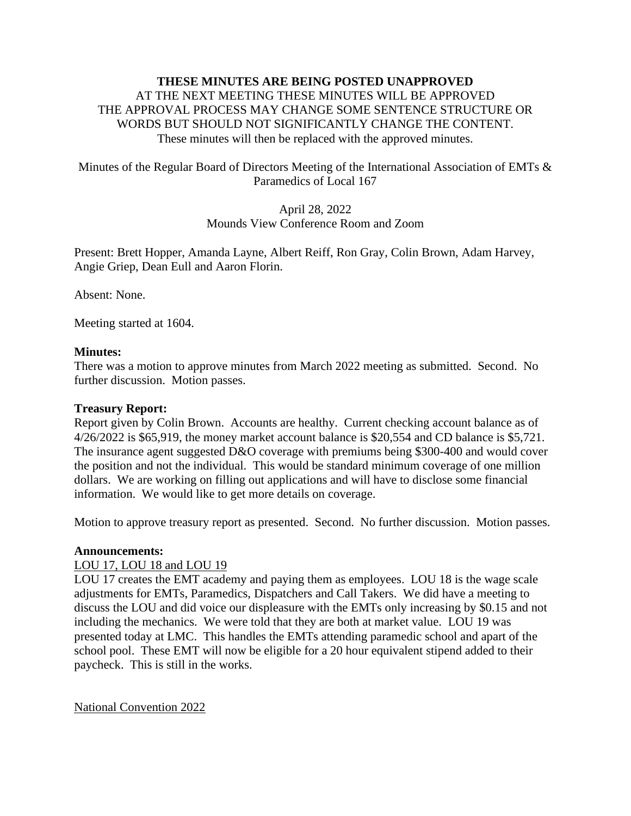# **THESE MINUTES ARE BEING POSTED UNAPPROVED**  AT THE NEXT MEETING THESE MINUTES WILL BE APPROVED THE APPROVAL PROCESS MAY CHANGE SOME SENTENCE STRUCTURE OR WORDS BUT SHOULD NOT SIGNIFICANTLY CHANGE THE CONTENT. These minutes will then be replaced with the approved minutes.

# Minutes of the Regular Board of Directors Meeting of the International Association of EMTs & Paramedics of Local 167

# April 28, 2022 Mounds View Conference Room and Zoom

Present: Brett Hopper, Amanda Layne, Albert Reiff, Ron Gray, Colin Brown, Adam Harvey, Angie Griep, Dean Eull and Aaron Florin.

Absent: None.

Meeting started at 1604.

#### **Minutes:**

There was a motion to approve minutes from March 2022 meeting as submitted. Second. No further discussion. Motion passes.

#### **Treasury Report:**

Report given by Colin Brown. Accounts are healthy. Current checking account balance as of 4/26/2022 is \$65,919, the money market account balance is \$20,554 and CD balance is \$5,721. The insurance agent suggested D&O coverage with premiums being \$300-400 and would cover the position and not the individual. This would be standard minimum coverage of one million dollars. We are working on filling out applications and will have to disclose some financial information. We would like to get more details on coverage.

Motion to approve treasury report as presented. Second. No further discussion. Motion passes.

#### **Announcements:**

# LOU 17, LOU 18 and LOU 19

LOU 17 creates the EMT academy and paying them as employees. LOU 18 is the wage scale adjustments for EMTs, Paramedics, Dispatchers and Call Takers. We did have a meeting to discuss the LOU and did voice our displeasure with the EMTs only increasing by \$0.15 and not including the mechanics. We were told that they are both at market value. LOU 19 was presented today at LMC. This handles the EMTs attending paramedic school and apart of the school pool. These EMT will now be eligible for a 20 hour equivalent stipend added to their paycheck. This is still in the works.

National Convention 2022